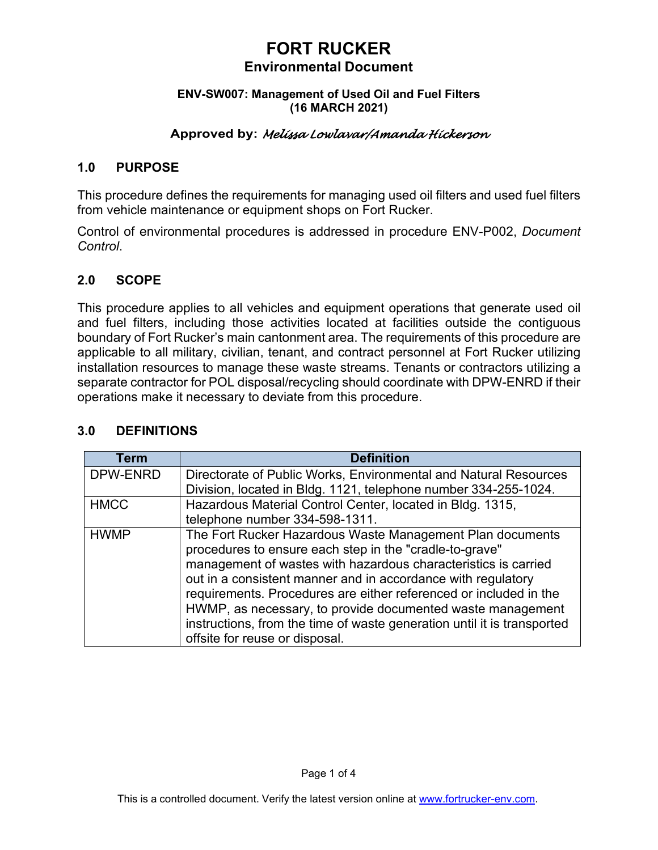# **FORT RUCKER Environmental Document**

#### **ENV-SW007: Management of Used Oil and Fuel Filters (16 MARCH 2021)**

## **Approved by:** *Melissa Lowlavar/Amanda Hickerson*

#### **1.0 PURPOSE**

This procedure defines the requirements for managing used oil filters and used fuel filters from vehicle maintenance or equipment shops on Fort Rucker.

Control of environmental procedures is addressed in procedure ENV-P002, *Document Control*.

#### **2.0 SCOPE**

This procedure applies to all vehicles and equipment operations that generate used oil and fuel filters, including those activities located at facilities outside the contiguous boundary of Fort Rucker's main cantonment area. The requirements of this procedure are applicable to all military, civilian, tenant, and contract personnel at Fort Rucker utilizing installation resources to manage these waste streams. Tenants or contractors utilizing a separate contractor for POL disposal/recycling should coordinate with DPW-ENRD if their operations make it necessary to deviate from this procedure.

| <b>Term</b> | <b>Definition</b>                                                       |
|-------------|-------------------------------------------------------------------------|
| DPW-ENRD    | Directorate of Public Works, Environmental and Natural Resources        |
|             | Division, located in Bldg. 1121, telephone number 334-255-1024.         |
| <b>HMCC</b> | Hazardous Material Control Center, located in Bldg. 1315,               |
|             | telephone number 334-598-1311.                                          |
| <b>HWMP</b> | The Fort Rucker Hazardous Waste Management Plan documents               |
|             | procedures to ensure each step in the "cradle-to-grave"                 |
|             | management of wastes with hazardous characteristics is carried          |
|             | out in a consistent manner and in accordance with regulatory            |
|             | requirements. Procedures are either referenced or included in the       |
|             | HWMP, as necessary, to provide documented waste management              |
|             | instructions, from the time of waste generation until it is transported |
|             | offsite for reuse or disposal.                                          |

## **3.0 DEFINITIONS**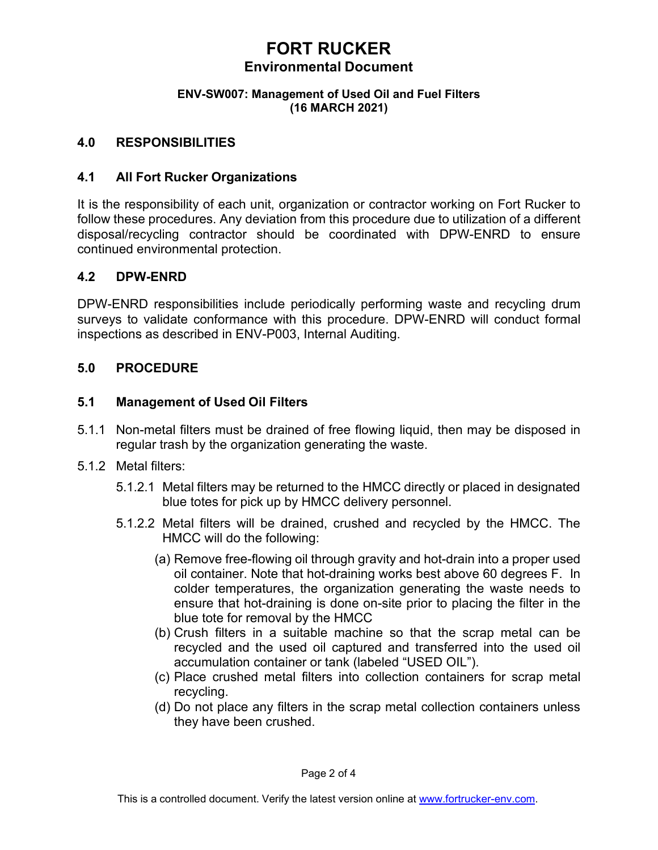# **FORT RUCKER Environmental Document**

#### **ENV-SW007: Management of Used Oil and Fuel Filters (16 MARCH 2021)**

#### **4.0 RESPONSIBILITIES**

#### **4.1 All Fort Rucker Organizations**

It is the responsibility of each unit, organization or contractor working on Fort Rucker to follow these procedures. Any deviation from this procedure due to utilization of a different disposal/recycling contractor should be coordinated with DPW-ENRD to ensure continued environmental protection.

#### **4.2 DPW-ENRD**

DPW-ENRD responsibilities include periodically performing waste and recycling drum surveys to validate conformance with this procedure. DPW-ENRD will conduct formal inspections as described in ENV-P003, Internal Auditing.

#### **5.0 PROCEDURE**

#### **5.1 Management of Used Oil Filters**

- 5.1.1 Non-metal filters must be drained of free flowing liquid, then may be disposed in regular trash by the organization generating the waste.
- 5.1.2 Metal filters:
	- 5.1.2.1 Metal filters may be returned to the HMCC directly or placed in designated blue totes for pick up by HMCC delivery personnel.
	- 5.1.2.2 Metal filters will be drained, crushed and recycled by the HMCC. The HMCC will do the following:
		- (a) Remove free-flowing oil through gravity and hot-drain into a proper used oil container. Note that hot-draining works best above 60 degrees F. In colder temperatures, the organization generating the waste needs to ensure that hot-draining is done on-site prior to placing the filter in the blue tote for removal by the HMCC
		- (b) Crush filters in a suitable machine so that the scrap metal can be recycled and the used oil captured and transferred into the used oil accumulation container or tank (labeled "USED OIL").
		- (c) Place crushed metal filters into collection containers for scrap metal recycling.
		- (d) Do not place any filters in the scrap metal collection containers unless they have been crushed.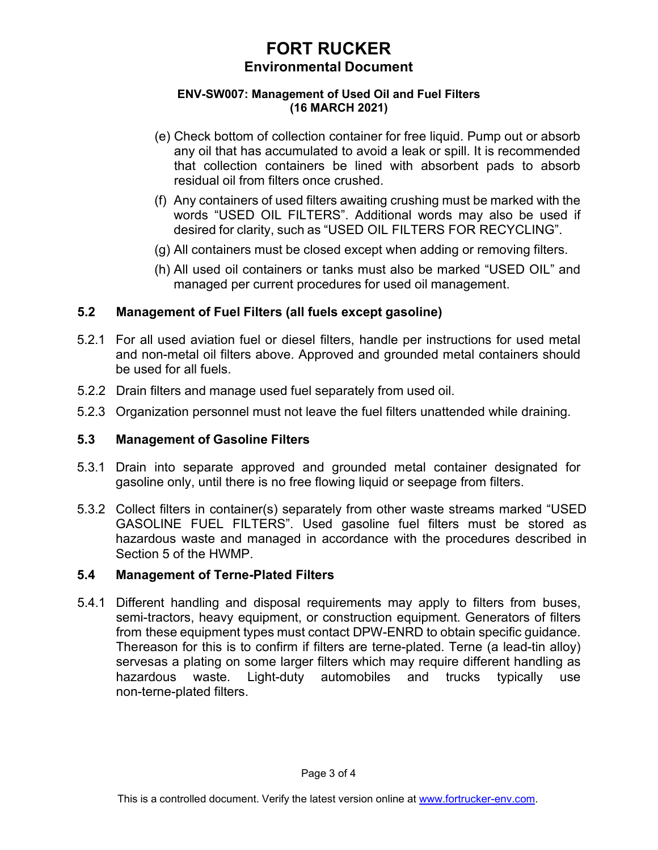# **FORT RUCKER Environmental Document**

#### **ENV-SW007: Management of Used Oil and Fuel Filters (16 MARCH 2021)**

- (e) Check bottom of collection container for free liquid. Pump out or absorb any oil that has accumulated to avoid a leak or spill. It is recommended that collection containers be lined with absorbent pads to absorb residual oil from filters once crushed.
- (f) Any containers of used filters awaiting crushing must be marked with the words "USED OIL FILTERS". Additional words may also be used if desired for clarity, such as "USED OIL FILTERS FOR RECYCLING".
- (g) All containers must be closed except when adding or removing filters.
- (h) All used oil containers or tanks must also be marked "USED OIL" and managed per current procedures for used oil management.

## **5.2 Management of Fuel Filters (all fuels except gasoline)**

- 5.2.1 For all used aviation fuel or diesel filters, handle per instructions for used metal and non-metal oil filters above. Approved and grounded metal containers should be used for all fuels.
- 5.2.2 Drain filters and manage used fuel separately from used oil.
- 5.2.3 Organization personnel must not leave the fuel filters unattended while draining.

## **5.3 Management of Gasoline Filters**

- 5.3.1 Drain into separate approved and grounded metal container designated for gasoline only, until there is no free flowing liquid or seepage from filters.
- 5.3.2 Collect filters in container(s) separately from other waste streams marked "USED GASOLINE FUEL FILTERS". Used gasoline fuel filters must be stored as hazardous waste and managed in accordance with the procedures described in Section 5 of the HWMP.

## **5.4 Management of Terne-Plated Filters**

5.4.1 Different handling and disposal requirements may apply to filters from buses, semi-tractors, heavy equipment, or construction equipment. Generators of filters from these equipment types must contact DPW-ENRD to obtain specific guidance. Thereason for this is to confirm if filters are terne-plated. Terne (a lead-tin alloy) servesas a plating on some larger filters which may require different handling as hazardous waste. Light-duty automobiles and trucks typically use non-terne-plated filters.